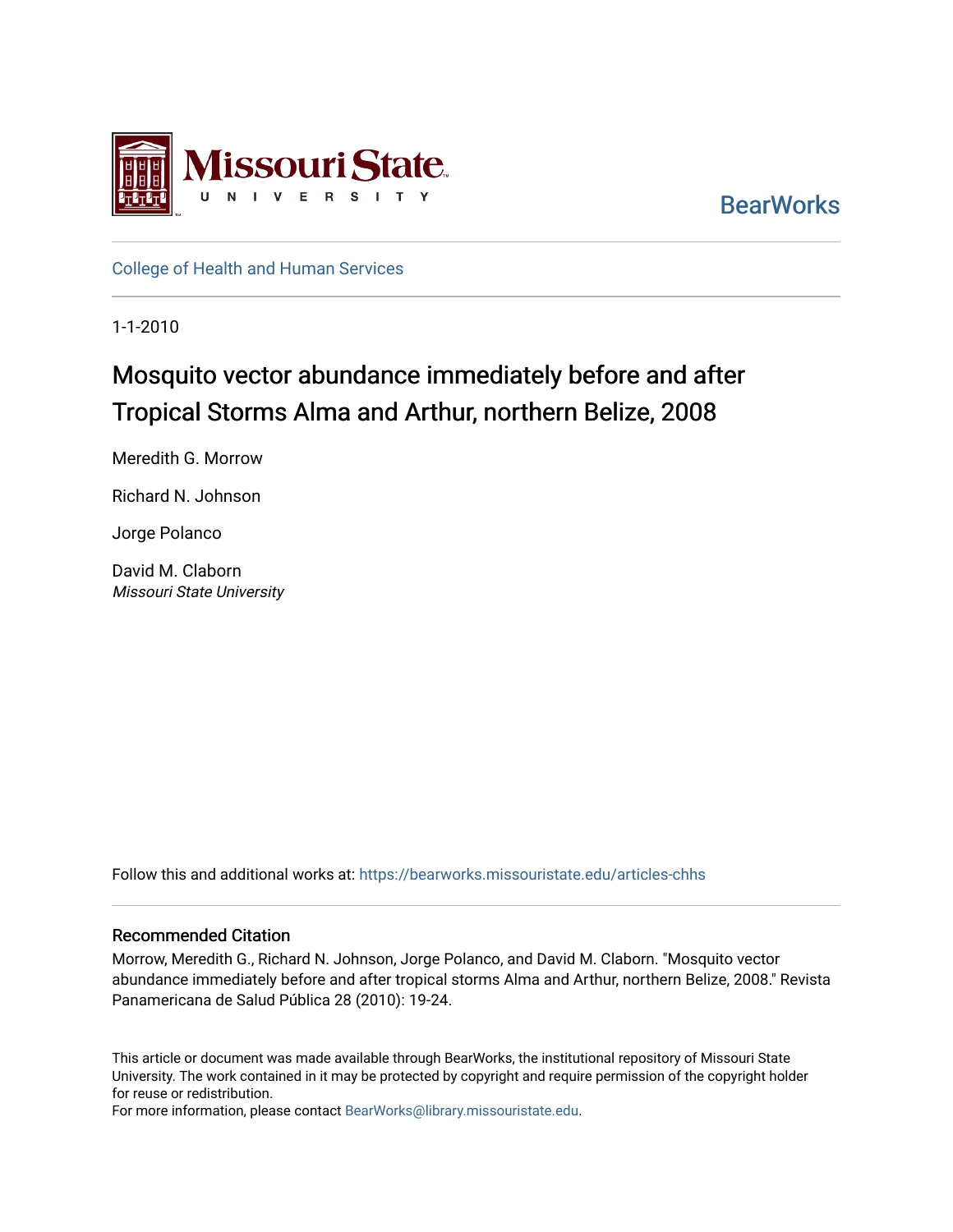

**BearWorks** 

[College of Health and Human Services](https://bearworks.missouristate.edu/articles-chhs) 

1-1-2010

## Mosquito vector abundance immediately before and after Tropical Storms Alma and Arthur, northern Belize, 2008

Meredith G. Morrow

Richard N. Johnson

Jorge Polanco

David M. Claborn Missouri State University

Follow this and additional works at: [https://bearworks.missouristate.edu/articles-chhs](https://bearworks.missouristate.edu/articles-chhs?utm_source=bearworks.missouristate.edu%2Farticles-chhs%2F619&utm_medium=PDF&utm_campaign=PDFCoverPages) 

### Recommended Citation

Morrow, Meredith G., Richard N. Johnson, Jorge Polanco, and David M. Claborn. "Mosquito vector abundance immediately before and after tropical storms Alma and Arthur, northern Belize, 2008." Revista Panamericana de Salud Pública 28 (2010): 19-24.

This article or document was made available through BearWorks, the institutional repository of Missouri State University. The work contained in it may be protected by copyright and require permission of the copyright holder for reuse or redistribution.

For more information, please contact [BearWorks@library.missouristate.edu.](mailto:BearWorks@library.missouristate.edu)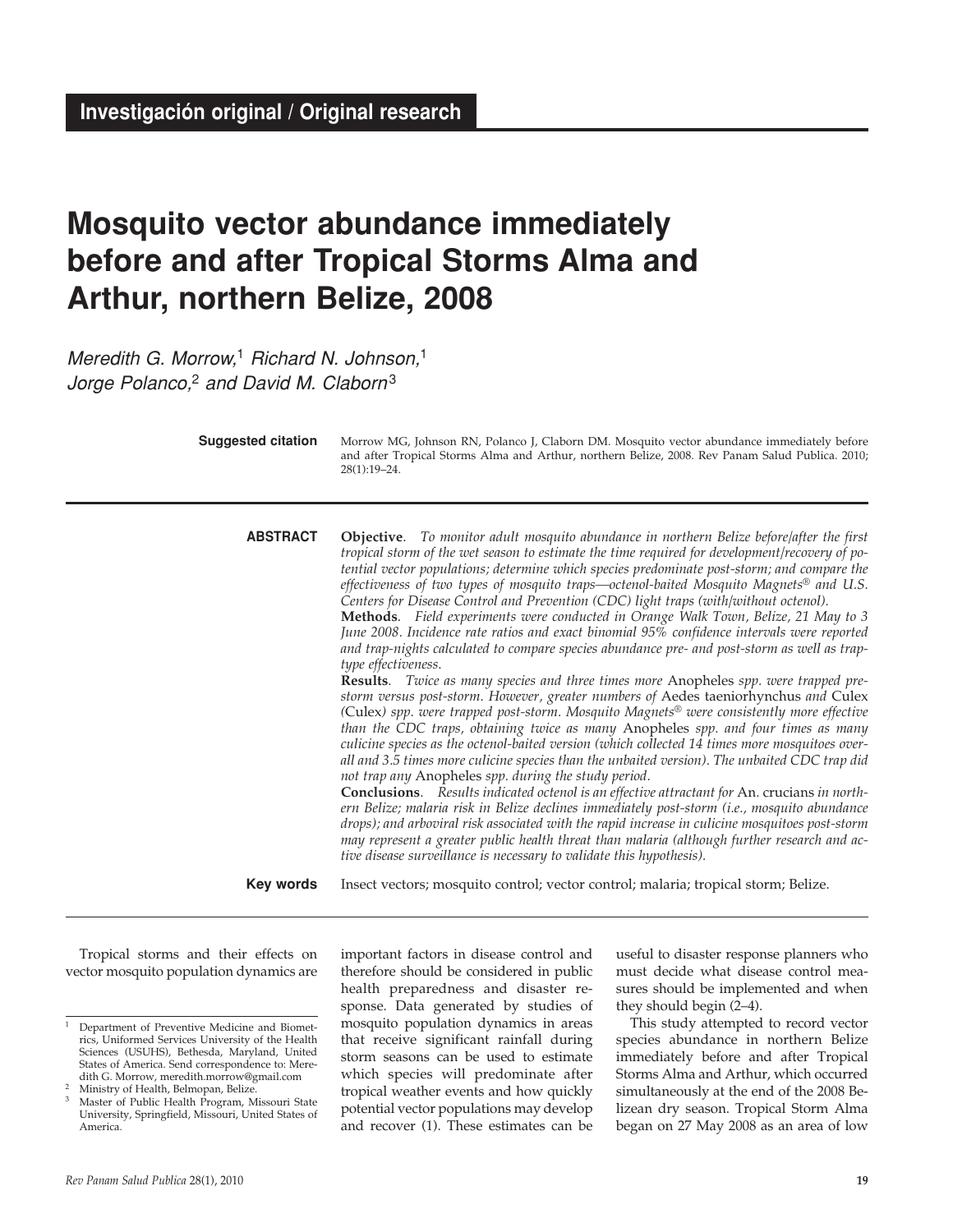# **Mosquito vector abundance immediately before and after Tropical Storms Alma and Arthur, northern Belize, 2008**

Meredith G. Morrow,<sup>1</sup> Richard N. Johnson,<sup>1</sup> Jorge Polanco, $2$  and David M. Claborn<sup>3</sup>

> Morrow MG, Johnson RN, Polanco J, Claborn DM. Mosquito vector abundance immediately before and after Tropical Storms Alma and Arthur, northern Belize, 2008. Rev Panam Salud Publica. 2010; 28(1):19–24. **Suggested citation**

> **Objective**. *To monitor adult mosquito abundance in northern Belize before/after the first tropical storm of the wet season to estimate the time required for development/recovery of potential vector populations; determine which species predominate post-storm; and compare the effectiveness of two types of mosquito traps—octenol-baited Mosquito Magnets® and U.S. Centers for Disease Control and Prevention (CDC) light traps (with/without octenol).* **Methods**. *Field experiments were conducted in Orange Walk Town, Belize, 21 May to 3 June 2008. Incidence rate ratios and exact binomial 95% confidence intervals were reported and trap-nights calculated to compare species abundance pre- and post-storm as well as traptype effectiveness*. **Results**. *Twice as many species and three times more* Anopheles *spp. were trapped prestorm versus post-storm. However, greater numbers of* Aedes taeniorhynchus *and* Culex *(*Culex*) spp. were trapped post-storm. Mosquito Magnets® were consistently more effective than the CDC traps, obtaining twice as many* Anopheles *spp. and four times as many culicine species as the octenol-baited version (which collected 14 times more mosquitoes overall and 3.5 times more culicine species than the unbaited version). The unbaited CDC trap did not trap any* Anopheles *spp. during the study period.* **Conclusions**. *Results indicated octenol is an effective attractant for* An. crucians *in northern Belize; malaria risk in Belize declines immediately post-storm (i.e., mosquito abundance drops); and arboviral risk associated with the rapid increase in culicine mosquitoes post-storm may represent a greater public health threat than malaria (although further research and active disease surveillance is necessary to validate this hypothesis).* **ABSTRACT**

Insect vectors; mosquito control; vector control; malaria; tropical storm; Belize. **Key words**

Tropical storms and their effects on vector mosquito population dynamics are

important factors in disease control and therefore should be considered in public health preparedness and disaster response. Data generated by studies of mosquito population dynamics in areas that receive significant rainfall during storm seasons can be used to estimate which species will predominate after tropical weather events and how quickly potential vector populations may develop and recover (1). These estimates can be

useful to disaster response planners who must decide what disease control measures should be implemented and when they should begin (2–4).

This study attempted to record vector species abundance in northern Belize immediately before and after Tropical Storms Alma and Arthur, which occurred simultaneously at the end of the 2008 Belizean dry season. Tropical Storm Alma began on 27 May 2008 as an area of low

<sup>1</sup> Department of Preventive Medicine and Biometrics, Uniformed Services University of the Health Sciences (USUHS), Bethesda, Maryland, United States of America. Send correspondence to: Meredith G. Morrow, meredith.morrow@gmail.com

Ministry of Health, Belmopan, Belize.

<sup>&</sup>lt;sup>3</sup> Master of Public Health Program, Missouri State University, Springfield, Missouri, United States of America.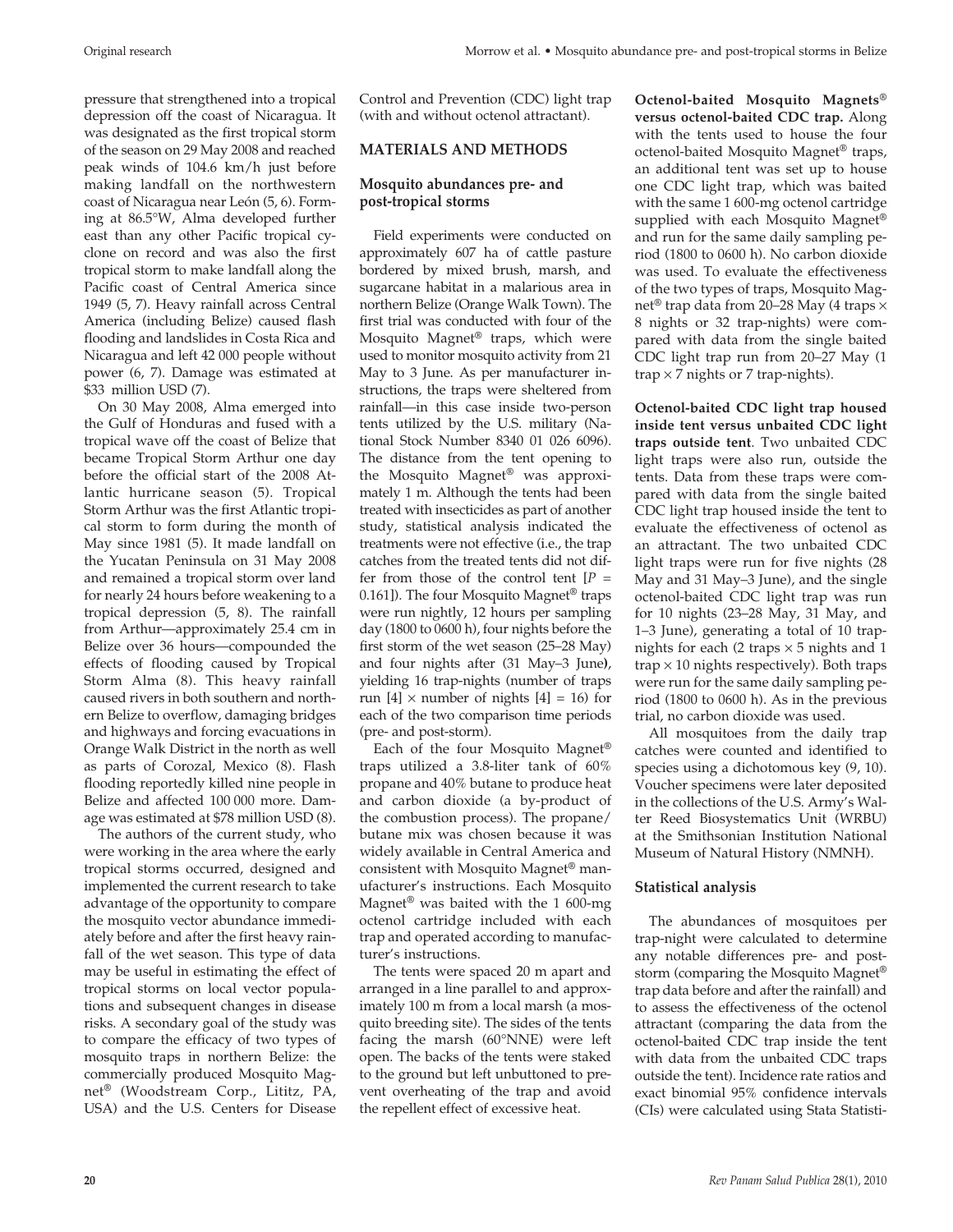pressure that strengthened into a tropical depression off the coast of Nicaragua. It was designated as the first tropical storm of the season on 29 May 2008 and reached peak winds of 104.6 km/h just before making landfall on the northwestern coast of Nicaragua near León (5, 6). Forming at 86.5°W, Alma developed further east than any other Pacific tropical cyclone on record and was also the first tropical storm to make landfall along the Pacific coast of Central America since 1949 (5, 7). Heavy rainfall across Central America (including Belize) caused flash flooding and landslides in Costa Rica and Nicaragua and left 42 000 people without power (6, 7). Damage was estimated at \$33 million USD (7).

On 30 May 2008, Alma emerged into the Gulf of Honduras and fused with a tropical wave off the coast of Belize that became Tropical Storm Arthur one day before the official start of the 2008 Atlantic hurricane season (5). Tropical Storm Arthur was the first Atlantic tropical storm to form during the month of May since 1981 (5). It made landfall on the Yucatan Peninsula on 31 May 2008 and remained a tropical storm over land for nearly 24 hours before weakening to a tropical depression (5, 8). The rainfall from Arthur—approximately 25.4 cm in Belize over 36 hours—compounded the effects of flooding caused by Tropical Storm Alma (8). This heavy rainfall caused rivers in both southern and northern Belize to overflow, damaging bridges and highways and forcing evacuations in Orange Walk District in the north as well as parts of Corozal, Mexico (8). Flash flooding reportedly killed nine people in Belize and affected 100 000 more. Damage was estimated at \$78 million USD (8).

The authors of the current study, who were working in the area where the early tropical storms occurred, designed and implemented the current research to take advantage of the opportunity to compare the mosquito vector abundance immediately before and after the first heavy rainfall of the wet season. This type of data may be useful in estimating the effect of tropical storms on local vector populations and subsequent changes in disease risks. A secondary goal of the study was to compare the efficacy of two types of mosquito traps in northern Belize: the commercially produced Mosquito Magnet® (Woodstream Corp., Lititz, PA, USA) and the U.S. Centers for Disease

Control and Prevention (CDC) light trap (with and without octenol attractant).

#### **MATERIALS AND METHODS**

#### **Mosquito abundances pre- and post-tropical storms**

Field experiments were conducted on approximately 607 ha of cattle pasture bordered by mixed brush, marsh, and sugarcane habitat in a malarious area in northern Belize (Orange Walk Town). The first trial was conducted with four of the Mosquito Magnet® traps, which were used to monitor mosquito activity from 21 May to 3 June. As per manufacturer instructions, the traps were sheltered from rainfall—in this case inside two-person tents utilized by the U.S. military (National Stock Number 8340 01 026 6096). The distance from the tent opening to the Mosquito Magnet® was approximately 1 m. Although the tents had been treated with insecticides as part of another study, statistical analysis indicated the treatments were not effective (i.e., the trap catches from the treated tents did not differ from those of the control tent  $[P =$ 0.161]). The four Mosquito Magnet® traps were run nightly, 12 hours per sampling day (1800 to 0600 h), four nights before the first storm of the wet season (25–28 May) and four nights after (31 May–3 June**)**, yielding 16 trap-nights (number of traps run  $[4] \times$  number of nights  $[4] = 16$  for each of the two comparison time periods (pre- and post-storm).

Each of the four Mosquito Magnet® traps utilized a 3.8-liter tank of 60% propane and 40% butane to produce heat and carbon dioxide (a by-product of the combustion process). The propane/ butane mix was chosen because it was widely available in Central America and consistent with Mosquito Magnet® manufacturer's instructions. Each Mosquito Magnet® was baited with the 1 600-mg octenol cartridge included with each trap and operated according to manufacturer's instructions.

The tents were spaced 20 m apart and arranged in a line parallel to and approximately 100 m from a local marsh (a mosquito breeding site). The sides of the tents facing the marsh (60°NNE) were left open. The backs of the tents were staked to the ground but left unbuttoned to prevent overheating of the trap and avoid the repellent effect of excessive heat.

**Octenol-baited Mosquito Magnets® versus octenol-baited CDC trap.** Along with the tents used to house the four octenol-baited Mosquito Magnet® traps, an additional tent was set up to house one CDC light trap, which was baited with the same 1 600-mg octenol cartridge supplied with each Mosquito Magnet® and run for the same daily sampling period (1800 to 0600 h). No carbon dioxide was used. To evaluate the effectiveness of the two types of traps, Mosquito Magnet<sup>®</sup> trap data from 20–28 May (4 traps  $\times$ 8 nights or 32 trap-nights) were compared with data from the single baited CDC light trap run from 20–27 May (1 trap  $\times$  7 nights or 7 trap-nights).

**Octenol-baited CDC light trap housed inside tent versus unbaited CDC light traps outside tent**. Two unbaited CDC light traps were also run, outside the tents. Data from these traps were compared with data from the single baited CDC light trap housed inside the tent to evaluate the effectiveness of octenol as an attractant. The two unbaited CDC light traps were run for five nights (28 May and 31 May–3 June), and the single octenol-baited CDC light trap was run for 10 nights (23–28 May, 31 May, and 1–3 June), generating a total of 10 trapnights for each (2 traps  $\times$  5 nights and 1  $trap \times 10$  nights respectively). Both traps were run for the same daily sampling period (1800 to 0600 h). As in the previous trial, no carbon dioxide was used.

All mosquitoes from the daily trap catches were counted and identified to species using a dichotomous key (9, 10). Voucher specimens were later deposited in the collections of the U.S. Army's Walter Reed Biosystematics Unit (WRBU) at the Smithsonian Institution National Museum of Natural History (NMNH).

#### **Statistical analysis**

The abundances of mosquitoes per trap-night were calculated to determine any notable differences pre- and poststorm (comparing the Mosquito Magnet® trap data before and after the rainfall) and to assess the effectiveness of the octenol attractant (comparing the data from the octenol-baited CDC trap inside the tent with data from the unbaited CDC traps outside the tent). Incidence rate ratios and exact binomial 95% confidence intervals (CIs) were calculated using Stata Statisti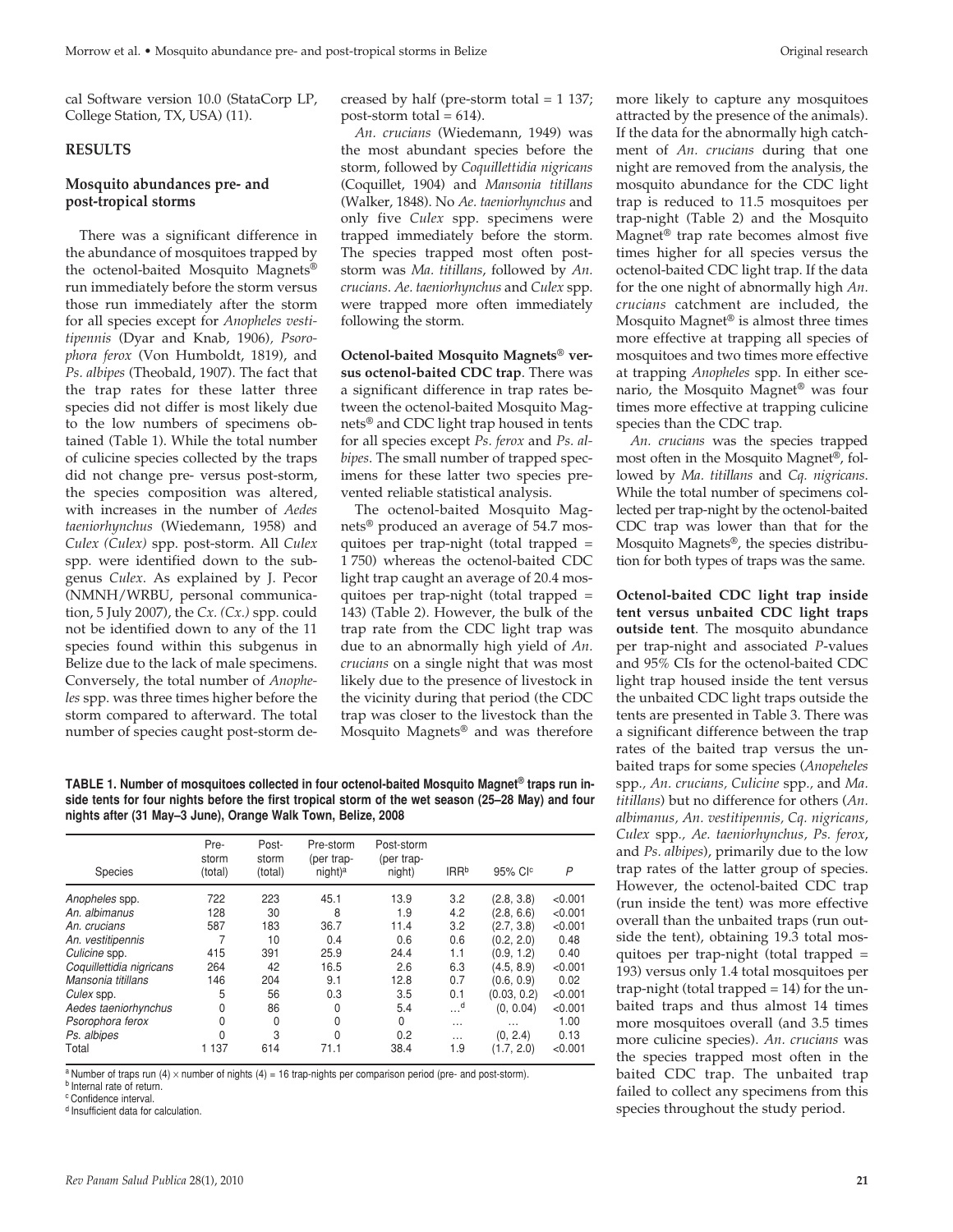cal Software version 10.0 (StataCorp LP, College Station, TX, USA) (11).

#### **RESULTS**

#### **Mosquito abundances pre- and post-tropical storms**

There was a significant difference in the abundance of mosquitoes trapped by the octenol-baited Mosquito Magnets® run immediately before the storm versus those run immediately after the storm for all species except for *Anopheles vestitipennis* (Dyar and Knab, 1906)*, Psorophora ferox* (Von Humboldt, 1819), and *Ps. albipes* (Theobald, 1907). The fact that the trap rates for these latter three species did not differ is most likely due to the low numbers of specimens obtained (Table 1). While the total number of culicine species collected by the traps did not change pre- versus post-storm, the species composition was altered, with increases in the number of *Aedes taeniorhynchus* (Wiedemann, 1958) and *Culex (Culex)* spp. post-storm. All *Culex* spp. were identified down to the subgenus *Culex*. As explained by J. Pecor (NMNH/WRBU, personal communication, 5 July 2007), the *Cx. (Cx.)* spp. could not be identified down to any of the 11 species found within this subgenus in Belize due to the lack of male specimens. Conversely, the total number of *Anopheles* spp. was three times higher before the storm compared to afterward. The total number of species caught post-storm decreased by half (pre-storm total = 1 137; post-storm total  $= 614$ ).

*An. crucians* (Wiedemann, 1949) was the most abundant species before the storm, followed by *Coquillettidia nigricans* (Coquillet, 1904) and *Mansonia titillans* (Walker, 1848). No *Ae. taeniorhynchus* and only five *Culex* spp. specimens were trapped immediately before the storm. The species trapped most often poststorm was *Ma. titillans*, followed by *An. crucians*. *Ae. taeniorhynchus* and *Culex* spp. were trapped more often immediately following the storm.

**Octenol-baited Mosquito Magnets® versus octenol-baited CDC trap**. There was a significant difference in trap rates between the octenol-baited Mosquito Magnets® and CDC light trap housed in tents for all species except *Ps. ferox* and *Ps. albipes*. The small number of trapped specimens for these latter two species prevented reliable statistical analysis.

The octenol-baited Mosquito Magnets® produced an average of 54.7 mosquitoes per trap-night (total trapped = 1 750) whereas the octenol-baited CDC light trap caught an average of 20.4 mosquitoes per trap-night (total trapped = 143) (Table 2). However, the bulk of the trap rate from the CDC light trap was due to an abnormally high yield of *An. crucians* on a single night that was most likely due to the presence of livestock in the vicinity during that period (the CDC trap was closer to the livestock than the Mosquito Magnets® and was therefore

**TABLE 1. Number of mosquitoes collected in four octenol-baited Mosquito Magnet® traps run inside tents for four nights before the first tropical storm of the wet season (25–28 May) and four nights after (31 May–3 June), Orange Walk Town, Belize, 2008**

| Species                  | Pre-<br>storm<br>(total) | Post-<br>storm<br>(total) | Pre-storm<br>(per trap-<br>night) <sup>a</sup> | Post-storm<br>(per trap-<br>night) | IRR <sup>b</sup>      | 95% CI <sup>c</sup> | $\overline{P}$ |
|--------------------------|--------------------------|---------------------------|------------------------------------------------|------------------------------------|-----------------------|---------------------|----------------|
| Anopheles spp.           | 722                      | 223                       | 45.1                                           | 13.9                               | 3.2                   | (2.8, 3.8)          | < 0.001        |
| An. albimanus            | 128                      | 30                        | 8                                              | 1.9                                | 4.2                   | (2.8, 6.6)          | < 0.001        |
| An. crucians             | 587                      | 183                       | 36.7                                           | 11.4                               | 3.2                   | (2.7, 3.8)          | < 0.001        |
| An. vestitipennis        | 7                        | 10                        | 0.4                                            | 0.6                                | 0.6                   | (0.2, 2.0)          | 0.48           |
| Culicine spp.            | 415                      | 391                       | 25.9                                           | 24.4                               | 1.1                   | (0.9, 1.2)          | 0.40           |
| Coquillettidia nigricans | 264                      | 42                        | 16.5                                           | 2.6                                | 6.3                   | (4.5, 8.9)          | < 0.001        |
| Mansonia titillans       | 146                      | 204                       | 9.1                                            | 12.8                               | 0.7                   | (0.6, 0.9)          | 0.02           |
| Culex spp.               | 5                        | 56                        | 0.3                                            | 3.5                                | 0.1                   | (0.03, 0.2)         | < 0.001        |
| Aedes taeniorhynchus     | 0                        | 86                        | 0                                              | 5.4                                | $\ldots$ <sup>d</sup> | (0, 0.04)           | < 0.001        |
| Psorophora ferox         | 0                        | 0                         | 0                                              | 0                                  | $\cdots$              | $\cdots$            | 1.00           |
| Ps. albipes              | 0                        | 3                         | $\Omega$                                       | 0.2                                | $\cdots$              | (0, 2.4)            | 0.13           |
| Total                    | 1 1 3 7                  | 614                       | 71.1                                           | 38.4                               | 1.9                   | (1.7.2.0)           | < 0.001        |

 $a$  Number of traps run (4)  $\times$  number of nights (4) = 16 trap-nights per comparison period (pre- and post-storm).

**b** Internal rate of return.

c Confidence interval.

d Insufficient data for calculation.

more likely to capture any mosquitoes attracted by the presence of the animals). If the data for the abnormally high catchment of *An. crucians* during that one night are removed from the analysis, the mosquito abundance for the CDC light trap is reduced to 11.5 mosquitoes per trap-night (Table 2) and the Mosquito Magnet® trap rate becomes almost five times higher for all species versus the octenol-baited CDC light trap. If the data for the one night of abnormally high *An. crucians* catchment are included, the Mosquito Magnet<sup>®</sup> is almost three times more effective at trapping all species of mosquitoes and two times more effective at trapping *Anopheles* spp. In either scenario, the Mosquito Magnet® was four times more effective at trapping culicine

species than the CDC trap. *An. crucians* was the species trapped most often in the Mosquito Magnet®, followed by *Ma. titillans* and *Cq. nigricans*. While the total number of specimens collected per trap-night by the octenol-baited CDC trap was lower than that for the Mosquito Magnets®, the species distribution for both types of traps was the same.

**Octenol-baited CDC light trap inside tent versus unbaited CDC light traps outside tent**. The mosquito abundance per trap-night and associated *P*-values and 95% CIs for the octenol-baited CDC light trap housed inside the tent versus the unbaited CDC light traps outside the tents are presented in Table 3. There was a significant difference between the trap rates of the baited trap versus the unbaited traps for some species (*Anopeheles* spp*., An. crucians, Culicine* spp*.,* and *Ma. titillans*) but no difference for others (*An. albimanus, An. vestitipennis, Cq. nigricans, Culex* spp*., Ae. taeniorhynchus, Ps. ferox*, and *Ps. albipes*), primarily due to the low trap rates of the latter group of species. However, the octenol-baited CDC trap (run inside the tent) was more effective overall than the unbaited traps (run outside the tent), obtaining 19.3 total mosquitoes per trap-night (total trapped = 193) versus only 1.4 total mosquitoes per trap-night (total trapped  $= 14$ ) for the unbaited traps and thus almost 14 times more mosquitoes overall (and 3.5 times more culicine species). *An. crucians* was the species trapped most often in the baited CDC trap. The unbaited trap failed to collect any specimens from this species throughout the study period.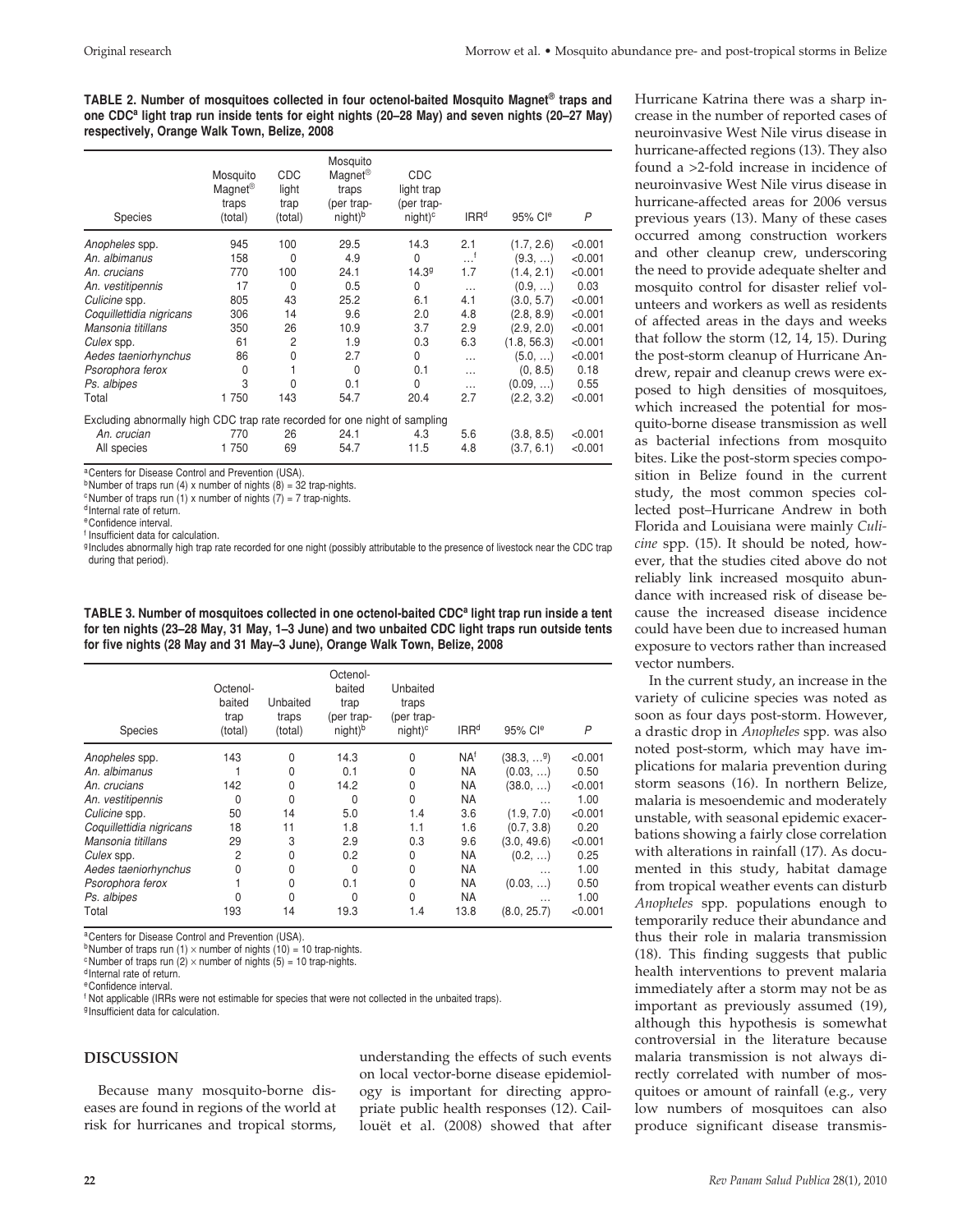**TABLE 2. Number of mosquitoes collected in four octenol-baited Mosquito Magnet® traps and one CDCa light trap run inside tents for eight nights (20–28 May) and seven nights (20–27 May) respectively, Orange Walk Town, Belize, 2008**

| <b>Species</b>                                                             | Mosquito<br>Magnet <sup>®</sup><br>traps<br>(total) | <b>CDC</b><br>light<br>trap<br>(total) | Mosquito<br>Magnet <sup>®</sup><br>traps<br>(per trap-<br>night) <sup>b</sup> | <b>CDC</b><br>light trap<br>(per trap-<br>$night)^c$ | IRR <sup>d</sup> | 95% Cle     | P       |
|----------------------------------------------------------------------------|-----------------------------------------------------|----------------------------------------|-------------------------------------------------------------------------------|------------------------------------------------------|------------------|-------------|---------|
| Anopheles spp.                                                             | 945                                                 | 100                                    | 29.5                                                                          | 14.3                                                 | 2.1              | (1.7, 2.6)  | < 0.001 |
| An. albimanus                                                              | 158                                                 | $\Omega$                               | 4.9                                                                           | $\Omega$                                             | أ.               | (9.3, )     | < 0.001 |
| An. crucians                                                               | 770                                                 | 100                                    | 24.1                                                                          | 14.39                                                | 1.7              | (1.4, 2.1)  | < 0.001 |
| An. vestitipennis                                                          | 17                                                  | $\Omega$                               | 0.5                                                                           | 0                                                    | $\cdots$         | (0.9, )     | 0.03    |
| Culicine spp.                                                              | 805                                                 | 43                                     | 25.2                                                                          | 6.1                                                  | 4.1              | (3.0, 5.7)  | < 0.001 |
| Coquillettidia nigricans                                                   | 306                                                 | 14                                     | 9.6                                                                           | 2.0                                                  | 4.8              | (2.8, 8.9)  | < 0.001 |
| Mansonia titillans                                                         | 350                                                 | 26                                     | 10.9                                                                          | 3.7                                                  | 2.9              | (2.9, 2.0)  | < 0.001 |
| Culex spp.                                                                 | 61                                                  | $\overline{2}$                         | 1.9                                                                           | 0.3                                                  | 6.3              | (1.8, 56.3) | < 0.001 |
| Aedes taeniorhynchus                                                       | 86                                                  | 0                                      | 2.7                                                                           | 0                                                    | $\cdots$         | (5.0, )     | < 0.001 |
| Psorophora ferox                                                           | 0                                                   |                                        | $\Omega$                                                                      | 0.1                                                  | $\cdots$         | (0, 8.5)    | 0.18    |
| Ps. albipes                                                                | 3                                                   | $\Omega$                               | 0.1                                                                           | 0                                                    | $\cdots$         | (0.09, )    | 0.55    |
| Total                                                                      | 1750                                                | 143                                    | 54.7                                                                          | 20.4                                                 | 2.7              | (2.2, 3.2)  | < 0.001 |
| Excluding abnormally high CDC trap rate recorded for one night of sampling |                                                     |                                        |                                                                               |                                                      |                  |             |         |
| An. crucian                                                                | 770                                                 | 26                                     | 24.1                                                                          | 4.3                                                  | 5.6              | (3.8, 8.5)  | < 0.001 |
| All species                                                                | 1750                                                | 69                                     | 54.7                                                                          | 11.5                                                 | 4.8              | (3.7, 6.1)  | < 0.001 |

aCenters for Disease Control and Prevention (USA).

<sup>b</sup>Number of traps run (4) x number of nights (8) = 32 trap-nights.

 $\textdegree$ Number of traps run (1) x number of nights (7) = 7 trap-nights.

<sup>d</sup> Internal rate of return.

eConfidence interval.

<sup>f</sup> Insufficient data for calculation.

g Includes abnormally high trap rate recorded for one night (possibly attributable to the presence of livestock near the CDC trap

during that period).

**TABLE 3. Number of mosquitoes collected in one octenol-baited CDC<sup>a</sup> light trap run inside a tent for ten nights (23–28 May, 31 May, 1–3 June) and two unbaited CDC light traps run outside tents for five nights (28 May and 31 May–3 June), Orange Walk Town, Belize, 2008**

| Species                  | Octenol-<br>baited<br>trap<br>(total) | Unbaited<br>traps<br>(total) | Octenol-<br>baited<br>trap<br>(per trap-<br>night) <sup>b</sup> | Unbaited<br>traps<br>(per trap-<br>$night)^c$ | IRR <sup>d</sup> | 95% Cle                 | P       |
|--------------------------|---------------------------------------|------------------------------|-----------------------------------------------------------------|-----------------------------------------------|------------------|-------------------------|---------|
| Anopheles spp.           | 143                                   | O                            | 14.3                                                            | 0                                             | NA <sup>f</sup>  | $(38.3, )$ <sup>9</sup> | < 0.001 |
| An. albimanus            |                                       | O                            | 0.1                                                             | 0                                             | <b>NA</b>        | (0.03, )                | 0.50    |
| An. crucians             | 142                                   | 0                            | 14.2                                                            | 0                                             | <b>NA</b>        | (38.0, )                | < 0.001 |
| An. vestitipennis        | $\Omega$                              | 0                            | $\Omega$                                                        | 0                                             | <b>NA</b>        | $\cdots$                | 1.00    |
| Culicine spp.            | 50                                    | 14                           | 5.0                                                             | 1.4                                           | 3.6              | (1.9, 7.0)              | < 0.001 |
| Coquillettidia nigricans | 18                                    | 11                           | 1.8                                                             | 1.1                                           | 1.6              | (0.7, 3.8)              | 0.20    |
| Mansonia titillans       | 29                                    | 3                            | 2.9                                                             | 0.3                                           | 9.6              | (3.0, 49.6)             | < 0.001 |
| Culex spp.               | $\overline{2}$                        | 0                            | 0.2                                                             | 0                                             | <b>NA</b>        | (0.2, )                 | 0.25    |
| Aedes taeniorhynchus     | 0                                     | 0                            | 0                                                               | 0                                             | <b>NA</b>        | $\cdots$                | 1.00    |
| Psorophora ferox         |                                       | 0                            | 0.1                                                             | 0                                             | <b>NA</b>        | (0.03, )                | 0.50    |
| Ps. albipes              | N                                     | 0                            | 0                                                               | 0                                             | <b>NA</b>        | .                       | 1.00    |
| Total                    | 193                                   | 14                           | 19.3                                                            | 1.4                                           | 13.8             | (8.0, 25.7)             | < 0.001 |

aCenters for Disease Control and Prevention (USA).

<sup>b</sup>Number of traps run (1)  $\times$  number of nights (10) = 10 trap-nights.

<sup>c</sup> Number of traps run  $(2) \times$  number of nights (5) = 10 trap-nights.

d Internal rate of return.

eConfidence interval.

<sup>f</sup> Not applicable (IRRs were not estimable for species that were not collected in the unbaited traps).

<sup>g</sup> Insufficient data for calculation.

#### **DISCUSSION**

Because many mosquito-borne diseases are found in regions of the world at risk for hurricanes and tropical storms, understanding the effects of such events on local vector-borne disease epidemiology is important for directing appropriate public health responses (12). Caillouët et al. (2008) showed that after

Hurricane Katrina there was a sharp increase in the number of reported cases of neuroinvasive West Nile virus disease in hurricane-affected regions (13). They also found a >2-fold increase in incidence of neuroinvasive West Nile virus disease in hurricane-affected areas for 2006 versus previous years (13). Many of these cases occurred among construction workers and other cleanup crew, underscoring the need to provide adequate shelter and mosquito control for disaster relief volunteers and workers as well as residents of affected areas in the days and weeks that follow the storm (12, 14, 15). During the post-storm cleanup of Hurricane Andrew, repair and cleanup crews were exposed to high densities of mosquitoes, which increased the potential for mosquito-borne disease transmission as well as bacterial infections from mosquito bites. Like the post-storm species composition in Belize found in the current study, the most common species collected post–Hurricane Andrew in both Florida and Louisiana were mainly *Culicine* spp. (15). It should be noted, however, that the studies cited above do not reliably link increased mosquito abundance with increased risk of disease because the increased disease incidence could have been due to increased human exposure to vectors rather than increased vector numbers.

In the current study, an increase in the variety of culicine species was noted as soon as four days post-storm. However, a drastic drop in *Anopheles* spp*.* was also noted post-storm, which may have implications for malaria prevention during storm seasons (16). In northern Belize, malaria is mesoendemic and moderately unstable, with seasonal epidemic exacerbations showing a fairly close correlation with alterations in rainfall (17). As documented in this study, habitat damage from tropical weather events can disturb *Anopheles* spp. populations enough to temporarily reduce their abundance and thus their role in malaria transmission (18). This finding suggests that public health interventions to prevent malaria immediately after a storm may not be as important as previously assumed (19), although this hypothesis is somewhat controversial in the literature because malaria transmission is not always directly correlated with number of mosquitoes or amount of rainfall (e.g., very low numbers of mosquitoes can also produce significant disease transmis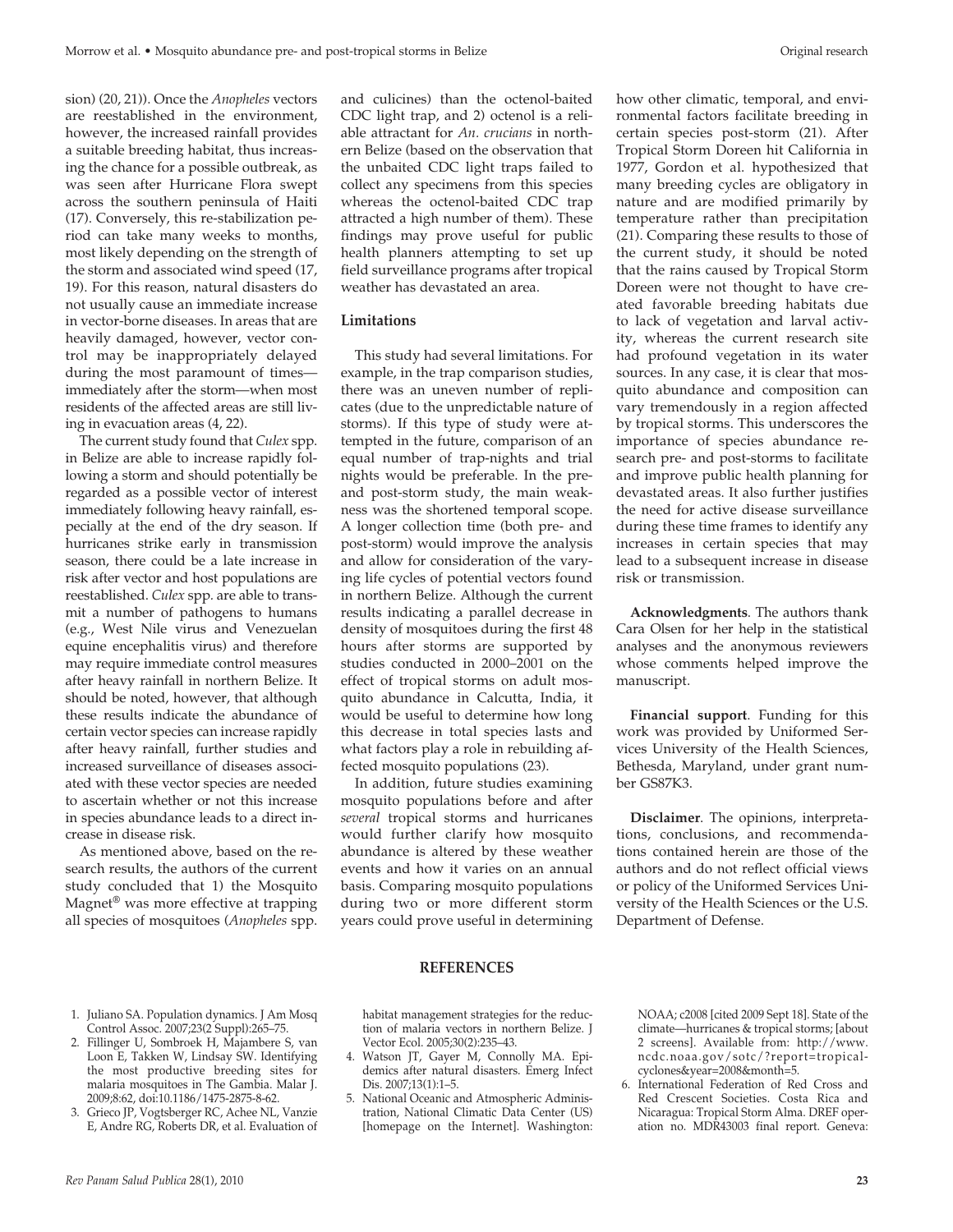sion) (20, 21)). Once the *Anopheles* vectors are reestablished in the environment, however, the increased rainfall provides a suitable breeding habitat, thus increasing the chance for a possible outbreak, as was seen after Hurricane Flora swept across the southern peninsula of Haiti (17). Conversely, this re-stabilization period can take many weeks to months, most likely depending on the strength of the storm and associated wind speed (17, 19). For this reason, natural disasters do not usually cause an immediate increase in vector-borne diseases. In areas that are heavily damaged, however, vector control may be inappropriately delayed during the most paramount of times immediately after the storm—when most residents of the affected areas are still living in evacuation areas (4, 22).

The current study found that *Culex* spp. in Belize are able to increase rapidly following a storm and should potentially be regarded as a possible vector of interest immediately following heavy rainfall, especially at the end of the dry season. If hurricanes strike early in transmission season, there could be a late increase in risk after vector and host populations are reestablished. *Culex* spp*.* are able to transmit a number of pathogens to humans (e.g., West Nile virus and Venezuelan equine encephalitis virus) and therefore may require immediate control measures after heavy rainfall in northern Belize. It should be noted, however, that although these results indicate the abundance of certain vector species can increase rapidly after heavy rainfall, further studies and increased surveillance of diseases associated with these vector species are needed to ascertain whether or not this increase in species abundance leads to a direct increase in disease risk.

As mentioned above, based on the research results, the authors of the current study concluded that 1) the Mosquito Magnet® was more effective at trapping all species of mosquitoes (*Anopheles* spp.

and culicines) than the octenol-baited CDC light trap, and 2) octenol is a reliable attractant for *An. crucians* in northern Belize (based on the observation that the unbaited CDC light traps failed to collect any specimens from this species whereas the octenol-baited CDC trap attracted a high number of them)*.* These findings may prove useful for public health planners attempting to set up field surveillance programs after tropical weather has devastated an area.

#### **Limitations**

This study had several limitations. For example, in the trap comparison studies, there was an uneven number of replicates (due to the unpredictable nature of storms). If this type of study were attempted in the future, comparison of an equal number of trap-nights and trial nights would be preferable. In the preand post-storm study, the main weakness was the shortened temporal scope. A longer collection time (both pre- and post-storm) would improve the analysis and allow for consideration of the varying life cycles of potential vectors found in northern Belize. Although the current results indicating a parallel decrease in density of mosquitoes during the first 48 hours after storms are supported by studies conducted in 2000–2001 on the effect of tropical storms on adult mosquito abundance in Calcutta, India, it would be useful to determine how long this decrease in total species lasts and what factors play a role in rebuilding affected mosquito populations (23).

In addition, future studies examining mosquito populations before and after *several* tropical storms and hurricanes would further clarify how mosquito abundance is altered by these weather events and how it varies on an annual basis. Comparing mosquito populations during two or more different storm years could prove useful in determining

how other climatic, temporal, and environmental factors facilitate breeding in certain species post-storm (21). After Tropical Storm Doreen hit California in 1977, Gordon et al. hypothesized that many breeding cycles are obligatory in nature and are modified primarily by temperature rather than precipitation (21). Comparing these results to those of the current study, it should be noted that the rains caused by Tropical Storm Doreen were not thought to have created favorable breeding habitats due to lack of vegetation and larval activity, whereas the current research site had profound vegetation in its water sources. In any case, it is clear that mosquito abundance and composition can vary tremendously in a region affected by tropical storms. This underscores the importance of species abundance research pre- and post-storms to facilitate and improve public health planning for devastated areas. It also further justifies the need for active disease surveillance during these time frames to identify any increases in certain species that may lead to a subsequent increase in disease risk or transmission.

**Acknowledgments**. The authors thank Cara Olsen for her help in the statistical analyses and the anonymous reviewers whose comments helped improve the manuscript.

**Financial support**. Funding for this work was provided by Uniformed Services University of the Health Sciences, Bethesda, Maryland, under grant number GS87K3.

**Disclaimer**. The opinions, interpretations, conclusions, and recommendations contained herein are those of the authors and do not reflect official views or policy of the Uniformed Services University of the Health Sciences or the U.S. Department of Defense.

#### **REFERENCES**

- 1. Juliano SA. Population dynamics. J Am Mosq Control Assoc. 2007;23(2 Suppl):265–75.
- 2. Fillinger U, Sombroek H, Majambere S, van Loon E, Takken W, Lindsay SW. Identifying the most productive breeding sites for malaria mosquitoes in The Gambia. Malar J. 2009;8:62, doi:10.1186/1475-2875-8-62.
- 3. Grieco JP, Vogtsberger RC, Achee NL, Vanzie E, Andre RG, Roberts DR, et al. Evaluation of

habitat management strategies for the reduction of malaria vectors in northern Belize. J Vector Ecol. 2005;30(2):235–43.

- 4. Watson JT, Gayer M, Connolly MA. Epidemics after natural disasters. Emerg Infect Dis. 2007;13(1):1–5.
- 5. National Oceanic and Atmospheric Administration, National Climatic Data Center (US) [homepage on the Internet]. Washington:

NOAA; c2008 [cited 2009 Sept 18]. State of the climate—hurricanes & tropical storms; [about 2 screens]. Available from: http://www. ncdc.noaa.gov/sotc/?report=tropicalcyclones&year=2008&month=5.

6. International Federation of Red Cross and Red Crescent Societies. Costa Rica and Nicaragua: Tropical Storm Alma. DREF operation no. MDR43003 final report. Geneva: